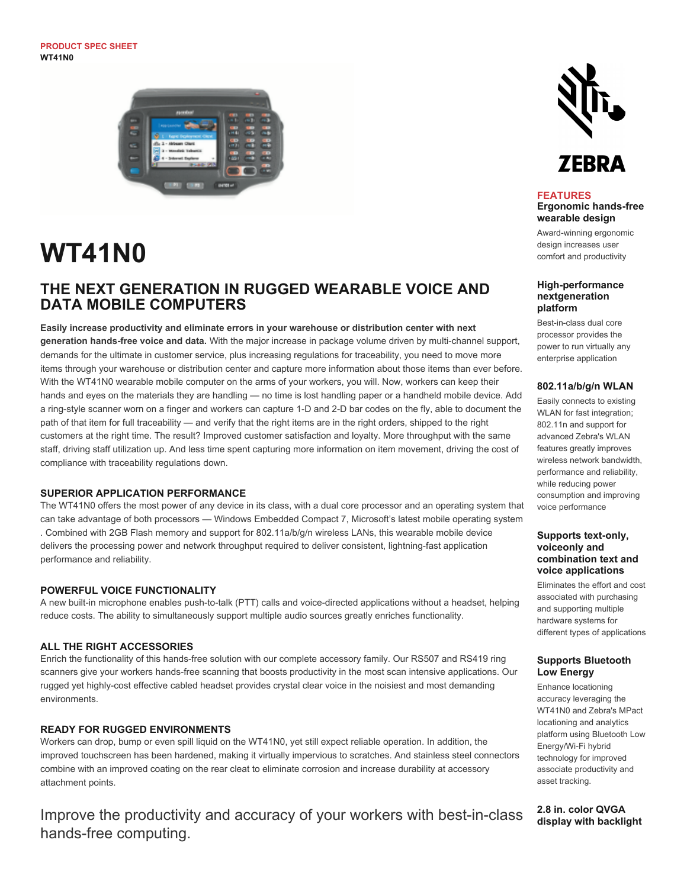**PRODUCT SPEC SHEET WT41N0**



# **WT41N0**

# **THE NEXT GENERATION IN RUGGED WEARABLE VOICE AND DATA MOBILE COMPUTERS**

**Easily increase productivity and eliminate errors in your warehouse or distribution center with next generation hands-free voice and data.** With the major increase in package volume driven by multi-channel support, demands for the ultimate in customer service, plus increasing regulations for traceability, you need to move more items through your warehouse or distribution center and capture more information about those items than ever before. With the WT41N0 wearable mobile computer on the arms of your workers, you will. Now, workers can keep their hands and eyes on the materials they are handling — no time is lost handling paper or a handheld mobile device. Add a ring-style scanner worn on a finger and workers can capture 1-D and 2-D bar codes on the fly, able to document the path of that item for full traceability — and verify that the right items are in the right orders, shipped to the right customers at the right time. The result? Improved customer satisfaction and loyalty. More throughput with the same staff, driving staff utilization up. And less time spent capturing more information on item movement, driving the cost of compliance with traceability regulations down.

# **SUPERIOR APPLICATION PERFORMANCE**

The WT41N0 offers the most power of any device in its class, with a dual core processor and an operating system that can take advantage of both processors — Windows Embedded Compact 7, Microsoft's latest mobile operating system . Combined with 2GB Flash memory and support for 802.11a/b/g/n wireless LANs, this wearable mobile device delivers the processing power and network throughput required to deliver consistent, lightning-fast application performance and reliability.

#### **POWERFUL VOICE FUNCTIONALITY**

A new built-in microphone enables push-to-talk (PTT) calls and voice-directed applications without a headset, helping reduce costs. The ability to simultaneously support multiple audio sources greatly enriches functionality.

# **ALL THE RIGHT ACCESSORIES**

Enrich the functionality of this hands-free solution with our complete accessory family. Our RS507 and RS419 ring scanners give your workers hands-free scanning that boosts productivity in the most scan intensive applications. Our rugged yet highly-cost effective cabled headset provides crystal clear voice in the noisiest and most demanding environments.

#### **READY FOR RUGGED ENVIRONMENTS**

Workers can drop, bump or even spill liquid on the WT41N0, yet still expect reliable operation. In addition, the improved touchscreen has been hardened, making it virtually impervious to scratches. And stainless steel connectors combine with an improved coating on the rear cleat to eliminate corrosion and increase durability at accessory attachment points.

Improve the productivity and accuracy of your workers with best-in-class hands-free computing.



# **FEATURES**

**Ergonomic hands-free wearable design**

Award-winning ergonomic design increases user comfort and productivity

#### **High-performance nextgeneration platform**

Best-in-class dual core processor provides the power to run virtually any enterprise application

#### **802.11a/b/g/n WLAN**

Easily connects to existing WLAN for fast integration; 802.11n and support for advanced Zebra's WLAN features greatly improves wireless network bandwidth, performance and reliability, while reducing power consumption and improving voice performance

#### **Supports text-only, voiceonly and combination text and voice applications**

Eliminates the effort and cost associated with purchasing and supporting multiple hardware systems for different types of applications

# **Supports Bluetooth Low Energy**

Enhance locationing accuracy leveraging the WT41N0 and Zebra's MPact locationing and analytics platform using Bluetooth Low Energy/Wi-Fi hybrid technology for improved associate productivity and asset tracking.

**2.8 in. color QVGA display with backlight**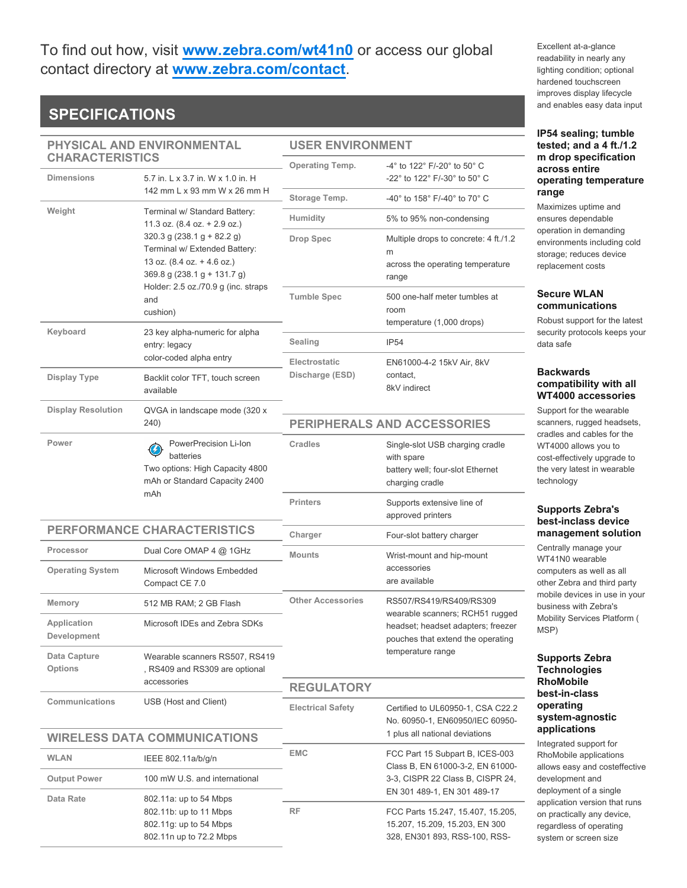# To find out how, visit **[www.zebra.com/wt41n0](http://www.zebra.com/wt41n0)** or access our global contact directory at **[www.zebra.com/contact](http://www.zebra.com/contact)**.

# **SPECIFICATIONS**

| <b>USER ENVIRONMENT</b> |  |
|-------------------------|--|
|                         |  |

| PHYSICAL AND ENVIRONMENTAL                                                       |                                                                                                                                                                                                                                                                                                                                             | <b>USER ENVIRONMENT</b>            |                                                                                                                                        |  |
|----------------------------------------------------------------------------------|---------------------------------------------------------------------------------------------------------------------------------------------------------------------------------------------------------------------------------------------------------------------------------------------------------------------------------------------|------------------------------------|----------------------------------------------------------------------------------------------------------------------------------------|--|
| <b>CHARACTERISTICS</b><br><b>Dimensions</b><br>5.7 in. L x 3.7 in. W x 1.0 in. H |                                                                                                                                                                                                                                                                                                                                             | <b>Operating Temp.</b>             | $-4^{\circ}$ to 122 $^{\circ}$ F/-20 $^{\circ}$ to 50 $^{\circ}$ C<br>-22° to 122° F/-30° to 50° C                                     |  |
|                                                                                  | 142 mm L x 93 mm W x 26 mm H                                                                                                                                                                                                                                                                                                                | Storage Temp.                      | -40° to 158° F/-40° to 70° C                                                                                                           |  |
| Weight                                                                           | Terminal w/ Standard Battery:<br>11.3 oz. $(8.4$ oz. $+ 2.9$ oz.)<br>$320.3$ g (238.1 g + 82.2 g)<br>Terminal w/ Extended Battery:<br>13 oz. $(8.4$ oz. $+ 4.6$ oz.)<br>369.8 g (238.1 g + 131.7 g)<br>Holder: 2.5 oz./70.9 g (inc. straps<br>and<br>cushion)<br>23 key alpha-numeric for alpha<br>entry: legacy<br>color-coded alpha entry | Humidity                           | 5% to 95% non-condensing                                                                                                               |  |
|                                                                                  |                                                                                                                                                                                                                                                                                                                                             | <b>Drop Spec</b>                   | Multiple drops to concrete: 4 ft./1.2<br>m<br>across the operating temperature<br>range                                                |  |
|                                                                                  |                                                                                                                                                                                                                                                                                                                                             | <b>Tumble Spec</b>                 | 500 one-half meter tumbles at<br>room<br>temperature (1,000 drops)                                                                     |  |
| Keyboard                                                                         |                                                                                                                                                                                                                                                                                                                                             | Sealing                            | <b>IP54</b>                                                                                                                            |  |
| Display Type                                                                     | Backlit color TFT, touch screen<br>available                                                                                                                                                                                                                                                                                                | Electrostatic<br>Discharge (ESD)   | EN61000-4-2 15kV Air, 8kV<br>contact.<br>8kV indirect                                                                                  |  |
| <b>Display Resolution</b>                                                        | QVGA in landscape mode (320 x<br>240)                                                                                                                                                                                                                                                                                                       | <b>PERIPHERALS AND ACCESSORIES</b> |                                                                                                                                        |  |
| Power                                                                            | PowerPrecision Li-Ion<br>batteries<br>Two options: High Capacity 4800<br>mAh or Standard Capacity 2400                                                                                                                                                                                                                                      | Cradles                            | Single-slot USB charging cradle<br>with spare<br>battery well; four-slot Ethernet<br>charging cradle                                   |  |
|                                                                                  | mAh                                                                                                                                                                                                                                                                                                                                         | <b>Printers</b>                    | Supports extensive line of<br>approved printers                                                                                        |  |
| PERFORMANCE CHARACTERISTICS                                                      |                                                                                                                                                                                                                                                                                                                                             | Charger                            | Four-slot battery charger                                                                                                              |  |
| Processor                                                                        | Dual Core OMAP 4 @ 1GHz                                                                                                                                                                                                                                                                                                                     | <b>Mounts</b>                      | Wrist-mount and hip-mount<br>accessories<br>are available                                                                              |  |
| <b>Operating System</b>                                                          | Microsoft Windows Embedded<br>Compact CE 7.0                                                                                                                                                                                                                                                                                                |                                    |                                                                                                                                        |  |
| Memory                                                                           | 512 MB RAM; 2 GB Flash                                                                                                                                                                                                                                                                                                                      | <b>Other Accessories</b>           | RS507/RS419/RS409/RS309                                                                                                                |  |
| Application<br>Development                                                       | Microsoft IDEs and Zebra SDKs                                                                                                                                                                                                                                                                                                               |                                    | wearable scanners; RCH51 rugged<br>headset; headset adapters; freezer<br>pouches that extend the operating                             |  |
| Data Capture<br><b>Options</b>                                                   | Wearable scanners RS507, RS419<br>, RS409 and RS309 are optional                                                                                                                                                                                                                                                                            |                                    | temperature range                                                                                                                      |  |
|                                                                                  | accessories                                                                                                                                                                                                                                                                                                                                 | <b>REGULATORY</b>                  |                                                                                                                                        |  |
| Communications                                                                   | USB (Host and Client)                                                                                                                                                                                                                                                                                                                       | <b>Electrical Safety</b>           | Certified to UL60950-1, CSA C22.2<br>No. 60950-1, EN60950/IEC 60950-                                                                   |  |
| <b>WIRELESS DATA COMMUNICATIONS</b>                                              |                                                                                                                                                                                                                                                                                                                                             |                                    | 1 plus all national deviations                                                                                                         |  |
| <b>WLAN</b><br><b>Output Power</b>                                               | IEEE 802.11a/b/g/n<br>100 mW U.S. and international                                                                                                                                                                                                                                                                                         | <b>EMC</b>                         | FCC Part 15 Subpart B, ICES-003<br>Class B, EN 61000-3-2, EN 61000-<br>3-3, CISPR 22 Class B, CISPR 24,<br>EN 301 489-1, EN 301 489-17 |  |
| Data Rate                                                                        |                                                                                                                                                                                                                                                                                                                                             |                                    |                                                                                                                                        |  |
|                                                                                  | 802.11a: up to 54 Mbps<br>802.11b: up to 11 Mbps<br>802.11g: up to 54 Mbps<br>802.11n up to 72.2 Mbps                                                                                                                                                                                                                                       | <b>RF</b>                          | FCC Parts 15.247, 15.407, 15.205,<br>15.207, 15.209, 15.203, EN 300<br>328, EN301 893, RSS-100, RSS-                                   |  |

Excellent at-a-glance readability in nearly any lighting condition; optional hardened touchscreen improves display lifecycle and enables easy data input

#### **IP54 sealing; tumble tested; and a 4 ft./1.2 m drop specification across entire operating temperature range**

Maximizes uptime and ensures dependable operation in demanding environments including cold storage; reduces device replacement costs

# **Secure WLAN communications**

Robust support for the latest security protocols keeps your data safe

# **Backwards compatibility with all WT4000 accessories**

Support for the wearable scanners, rugged headsets, cradles and cables for the WT4000 allows you to cost-effectively upgrade to the very latest in wearable technology

# **Supports Zebra's best-inclass device management solution**

Centrally manage your WT41N0 wearable computers as well as all other Zebra and third party mobile devices in use in your business with Zebra's Mobility Services Platform ( MSP)

#### **Supports Zebra Technologies RhoMobile best-in-class operating system-agnostic applications**

Integrated support for RhoMobile applications allows easy and costeffective development and deployment of a single application version that runs on practically any device, regardless of operating system or screen size